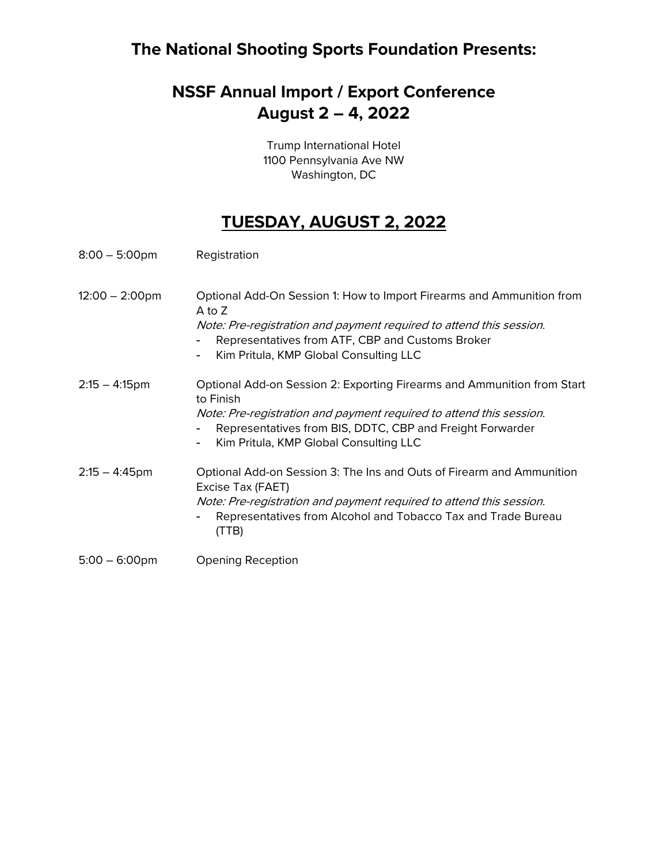## **The National Shooting Sports Foundation Presents:**

# **NSSF Annual Import / Export Conference August 2 – 4, 2022**

Trump International Hotel 1100 Pennsylvania Ave NW Washington, DC

#### **TUESDAY, AUGUST 2, 2022**

| $8:00 - 5:00$ pm         | Registration                                                                                                                                                                                                                                                            |
|--------------------------|-------------------------------------------------------------------------------------------------------------------------------------------------------------------------------------------------------------------------------------------------------------------------|
| $12:00 - 2:00 \text{pm}$ | Optional Add-On Session 1: How to Import Firearms and Ammunition from<br>A to Z<br>Note: Pre-registration and payment required to attend this session.<br>Representatives from ATF, CBP and Customs Broker<br>Kim Pritula, KMP Global Consulting LLC                    |
| $2:15 - 4:15$ pm         | Optional Add-on Session 2: Exporting Firearms and Ammunition from Start<br>to Finish<br>Note: Pre-registration and payment required to attend this session.<br>Representatives from BIS, DDTC, CBP and Freight Forwarder<br>Kim Pritula, KMP Global Consulting LLC<br>۰ |
| $2:15 - 4:45$ pm         | Optional Add-on Session 3: The Ins and Outs of Firearm and Ammunition<br>Excise Tax (FAET)<br>Note: Pre-registration and payment required to attend this session.<br>Representatives from Alcohol and Tobacco Tax and Trade Bureau<br>(TTB)                             |
| $5:00 - 6:00$ pm         | <b>Opening Reception</b>                                                                                                                                                                                                                                                |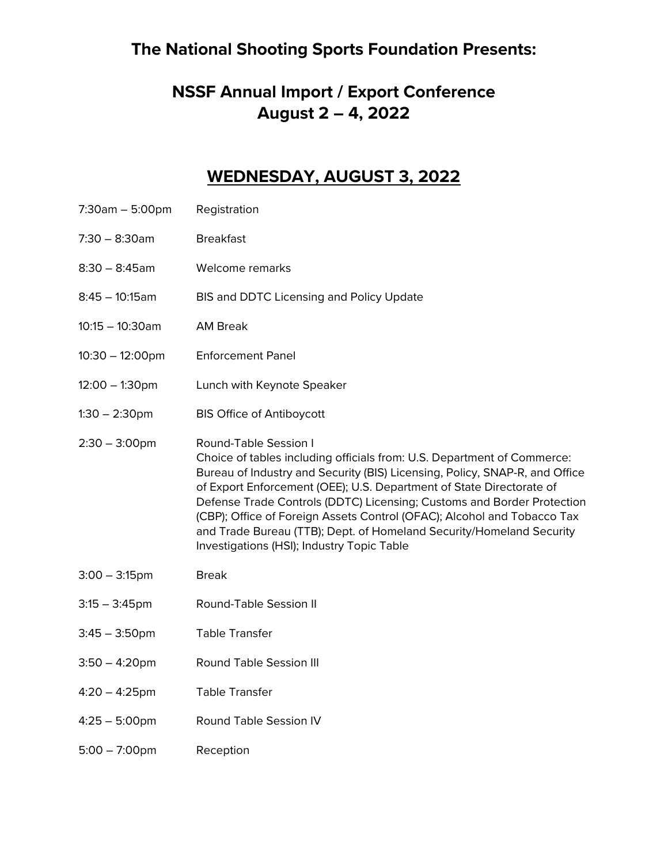#### **The National Shooting Sports Foundation Presents:**

## **NSSF Annual Import / Export Conference August 2 – 4, 2022**

#### **WEDNESDAY, AUGUST 3, 2022**

- 7:30am 5:00pm Registration
- 7:30 8:30am Breakfast
- 8:30 8:45am Welcome remarks
- 8:45 10:15am BIS and DDTC Licensing and Policy Update
- 10:15 10:30am AM Break
- 10:30 12:00pm Enforcement Panel
- 12:00 1:30pm Lunch with Keynote Speaker
- 1:30 2:30pm BIS Office of Antiboycott
- 2:30 3:00pm Round-Table Session I Choice of tables including officials from: U.S. Department of Commerce: Bureau of Industry and Security (BIS) Licensing, Policy, SNAP-R, and Office of Export Enforcement (OEE); U.S. Department of State Directorate of Defense Trade Controls (DDTC) Licensing; Customs and Border Protection (CBP); Office of Foreign Assets Control (OFAC); Alcohol and Tobacco Tax and Trade Bureau (TTB); Dept. of Homeland Security/Homeland Security Investigations (HSI); Industry Topic Table
- 3:00 3:15pm Break
- 3:15 3:45pm Round-Table Session II
- 3:45 3:50pm Table Transfer
- 3:50 4:20pm Round Table Session III
- 4:20 4:25pm Table Transfer
- 4:25 5:00pm Round Table Session IV
- 5:00 7:00pm Reception